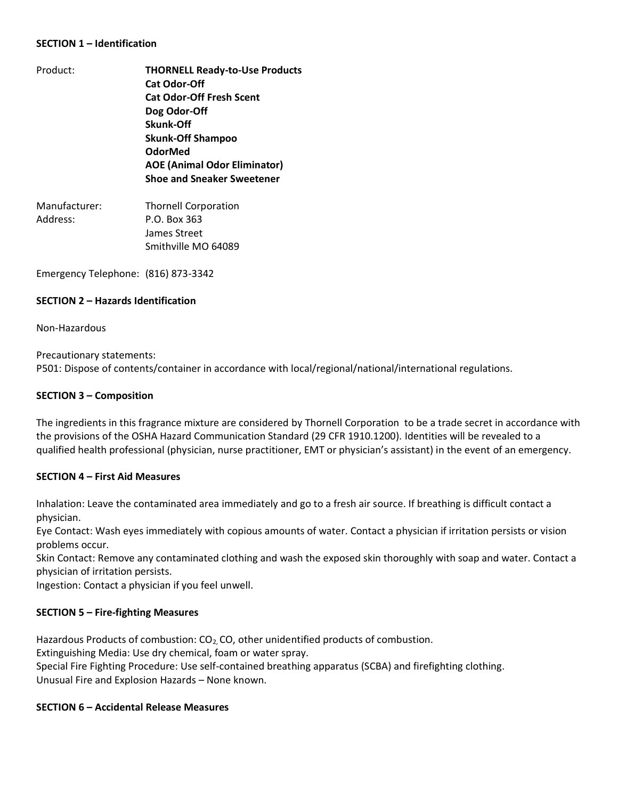### **SECTION 1 – Identification**

- Product: **THORNELL Ready-to-Use Products Cat Odor-Off Cat Odor-Off Fresh Scent Dog Odor-Off Skunk-Off Skunk-Off Shampoo OdorMed AOE (Animal Odor Eliminator) Shoe and Sneaker Sweetener** Manufacturer: Thornell Corporation
- Address: P.O. Box 363 James Street Smithville MO 64089

Emergency Telephone: (816) 873-3342

### **SECTION 2 – Hazards Identification**

Non-Hazardous

Precautionary statements: P501: Dispose of contents/container in accordance with local/regional/national/international regulations.

### **SECTION 3 – Composition**

The ingredients in this fragrance mixture are considered by Thornell Corporation to be a trade secret in accordance with the provisions of the OSHA Hazard Communication Standard (29 CFR 1910.1200). Identities will be revealed to a qualified health professional (physician, nurse practitioner, EMT or physician's assistant) in the event of an emergency.

# **SECTION 4 – First Aid Measures**

Inhalation: Leave the contaminated area immediately and go to a fresh air source. If breathing is difficult contact a physician.

Eye Contact: Wash eyes immediately with copious amounts of water. Contact a physician if irritation persists or vision problems occur.

Skin Contact: Remove any contaminated clothing and wash the exposed skin thoroughly with soap and water. Contact a physician of irritation persists.

Ingestion: Contact a physician if you feel unwell.

# **SECTION 5 – Fire-fighting Measures**

Hazardous Products of combustion:  $CO<sub>2</sub>$ , CO, other unidentified products of combustion.

Extinguishing Media: Use dry chemical, foam or water spray.

Special Fire Fighting Procedure: Use self-contained breathing apparatus (SCBA) and firefighting clothing. Unusual Fire and Explosion Hazards – None known.

#### **SECTION 6 – Accidental Release Measures**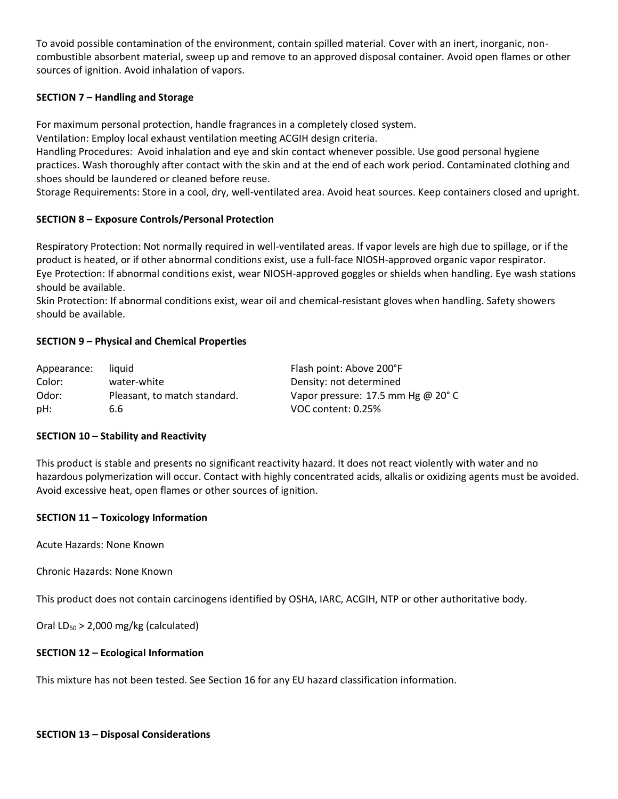To avoid possible contamination of the environment, contain spilled material. Cover with an inert, inorganic, noncombustible absorbent material, sweep up and remove to an approved disposal container. Avoid open flames or other sources of ignition. Avoid inhalation of vapors.

# **SECTION 7 – Handling and Storage**

For maximum personal protection, handle fragrances in a completely closed system.

Ventilation: Employ local exhaust ventilation meeting ACGIH design criteria.

Handling Procedures: Avoid inhalation and eye and skin contact whenever possible. Use good personal hygiene practices. Wash thoroughly after contact with the skin and at the end of each work period. Contaminated clothing and shoes should be laundered or cleaned before reuse.

Storage Requirements: Store in a cool, dry, well-ventilated area. Avoid heat sources. Keep containers closed and upright.

# **SECTION 8 – Exposure Controls/Personal Protection**

Respiratory Protection: Not normally required in well-ventilated areas. If vapor levels are high due to spillage, or if the product is heated, or if other abnormal conditions exist, use a full-face NIOSH-approved organic vapor respirator. Eye Protection: If abnormal conditions exist, wear NIOSH-approved goggles or shields when handling. Eye wash stations should be available.

Skin Protection: If abnormal conditions exist, wear oil and chemical-resistant gloves when handling. Safety showers should be available.

# **SECTION 9 – Physical and Chemical Properties**

| Appearance: | liauid                       | Flash point: Above 200°F                     |
|-------------|------------------------------|----------------------------------------------|
| Color:      | water-white                  | Density: not determined                      |
| Odor:       | Pleasant, to match standard. | Vapor pressure: 17.5 mm Hg @ 20 $^{\circ}$ C |
| pH:         | 6.6                          | VOC content: 0.25%                           |

# **SECTION 10 – Stability and Reactivity**

This product is stable and presents no significant reactivity hazard. It does not react violently with water and no hazardous polymerization will occur. Contact with highly concentrated acids, alkalis or oxidizing agents must be avoided. Avoid excessive heat, open flames or other sources of ignition.

# **SECTION 11 – Toxicology Information**

Acute Hazards: None Known

Chronic Hazards: None Known

This product does not contain carcinogens identified by OSHA, IARC, ACGIH, NTP or other authoritative body.

Oral  $LD_{50}$  > 2,000 mg/kg (calculated)

# **SECTION 12 – Ecological Information**

This mixture has not been tested. See Section 16 for any EU hazard classification information.